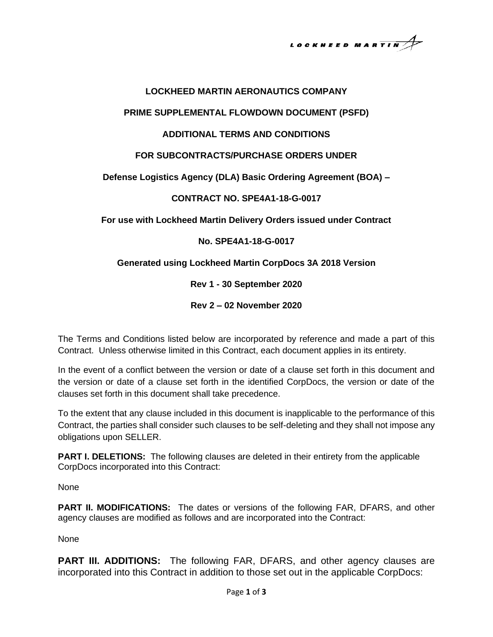LOCKHEED MARTIN $A$ 

#### **LOCKHEED MARTIN AERONAUTICS COMPANY**

#### **PRIME SUPPLEMENTAL FLOWDOWN DOCUMENT (PSFD)**

### **ADDITIONAL TERMS AND CONDITIONS**

### **FOR SUBCONTRACTS/PURCHASE ORDERS UNDER**

# **Defense Logistics Agency (DLA) Basic Ordering Agreement (BOA) –**

### **CONTRACT NO. SPE4A1-18-G-0017**

**For use with Lockheed Martin Delivery Orders issued under Contract** 

# **No. SPE4A1-18-G-0017**

### **Generated using Lockheed Martin CorpDocs 3A 2018 Version**

**Rev 1 - 30 September 2020**

**Rev 2 – 02 November 2020**

The Terms and Conditions listed below are incorporated by reference and made a part of this Contract. Unless otherwise limited in this Contract, each document applies in its entirety.

In the event of a conflict between the version or date of a clause set forth in this document and the version or date of a clause set forth in the identified CorpDocs, the version or date of the clauses set forth in this document shall take precedence.

To the extent that any clause included in this document is inapplicable to the performance of this Contract, the parties shall consider such clauses to be self-deleting and they shall not impose any obligations upon SELLER.

**PART I. DELETIONS:** The following clauses are deleted in their entirety from the applicable CorpDocs incorporated into this Contract:

None

**PART II. MODIFICATIONS:** The dates or versions of the following FAR, DFARS, and other agency clauses are modified as follows and are incorporated into the Contract:

None

**PART III. ADDITIONS:** The following FAR, DFARS, and other agency clauses are incorporated into this Contract in addition to those set out in the applicable CorpDocs: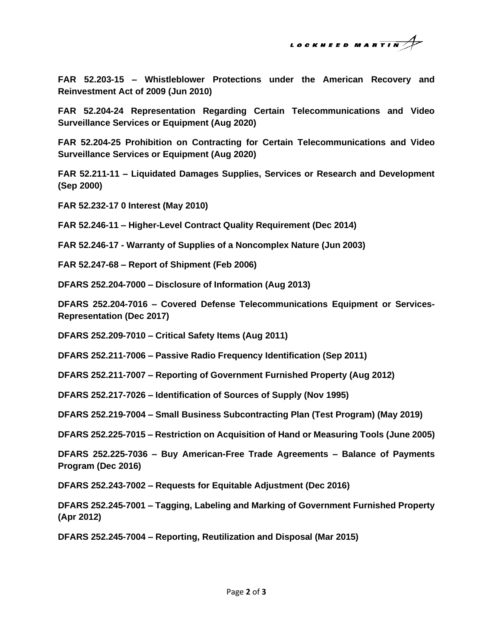

**FAR 52.203-15 – Whistleblower Protections under the American Recovery and Reinvestment Act of 2009 (Jun 2010)**

**FAR 52.204-24 Representation Regarding Certain Telecommunications and Video Surveillance Services or Equipment (Aug 2020)**

**FAR 52.204-25 Prohibition on Contracting for Certain Telecommunications and Video Surveillance Services or Equipment (Aug 2020)**

**FAR 52.211-11 – Liquidated Damages Supplies, Services or Research and Development (Sep 2000)**

**FAR 52.232-17 0 Interest (May 2010)**

**FAR 52.246-11 – Higher-Level Contract Quality Requirement (Dec 2014)**

**FAR 52.246-17 - Warranty of Supplies of a Noncomplex Nature (Jun 2003)**

**FAR 52.247-68 – Report of Shipment (Feb 2006)**

**DFARS 252.204-7000 – Disclosure of Information (Aug 2013)**

**DFARS 252.204-7016 – Covered Defense Telecommunications Equipment or Services-Representation (Dec 2017)**

**DFARS 252.209-7010 – Critical Safety Items (Aug 2011)**

**DFARS 252.211-7006 – Passive Radio Frequency Identification (Sep 2011)**

**DFARS 252.211-7007 – Reporting of Government Furnished Property (Aug 2012)**

**DFARS 252.217-7026 – Identification of Sources of Supply (Nov 1995)**

**DFARS 252.219-7004 – Small Business Subcontracting Plan (Test Program) (May 2019)**

**DFARS 252.225-7015 – Restriction on Acquisition of Hand or Measuring Tools (June 2005)**

**DFARS 252.225-7036 – Buy American-Free Trade Agreements – Balance of Payments Program (Dec 2016)**

**DFARS 252.243-7002 – Requests for Equitable Adjustment (Dec 2016)**

**DFARS 252.245-7001 – Tagging, Labeling and Marking of Government Furnished Property (Apr 2012)**

**DFARS 252.245-7004 – Reporting, Reutilization and Disposal (Mar 2015)**